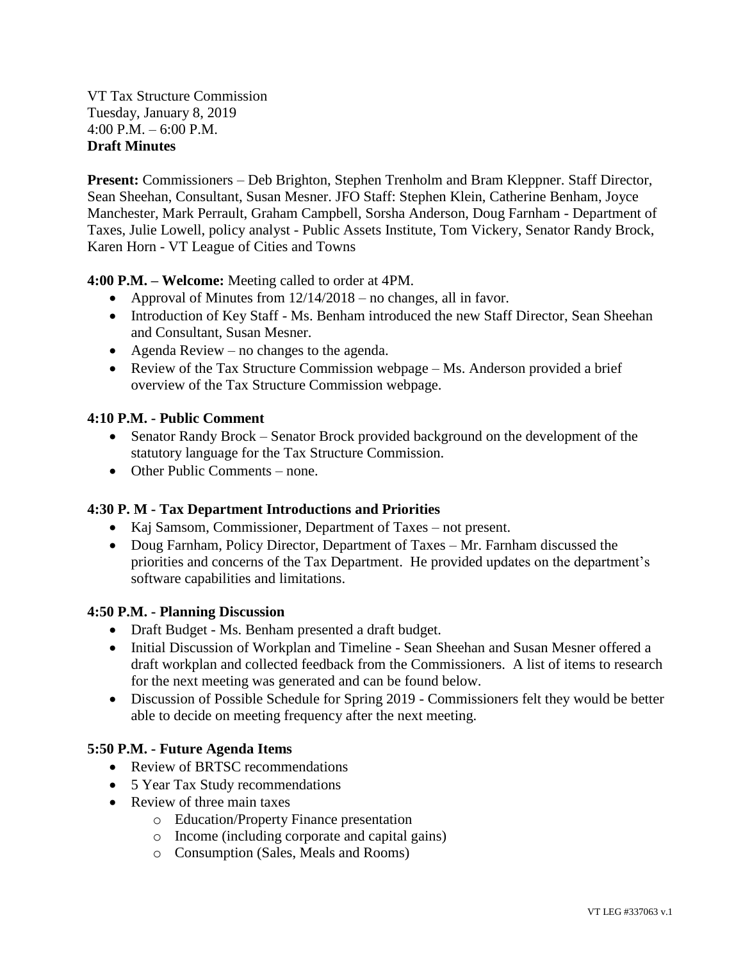VT Tax Structure Commission Tuesday, January 8, 2019 4:00 P.M. – 6:00 P.M. **Draft Minutes**

**Present:** Commissioners – Deb Brighton, Stephen Trenholm and Bram Kleppner. Staff Director, Sean Sheehan, Consultant, Susan Mesner. JFO Staff: Stephen Klein, Catherine Benham, Joyce Manchester, Mark Perrault, Graham Campbell, Sorsha Anderson, Doug Farnham - Department of Taxes, Julie Lowell, policy analyst - Public Assets Institute, Tom Vickery, Senator Randy Brock, Karen Horn - VT League of Cities and Towns

**4:00 P.M. – Welcome:** Meeting called to order at 4PM.

- Approval of Minutes from  $12/14/2018$  no changes, all in favor.
- Introduction of Key Staff Ms. Benham introduced the new Staff Director, Sean Sheehan and Consultant, Susan Mesner.
- Agenda Review no changes to the agenda.
- Review of the Tax Structure Commission webpage Ms. Anderson provided a brief overview of the Tax Structure Commission webpage.

## **4:10 P.M. - Public Comment**

- Senator Randy Brock Senator Brock provided background on the development of the statutory language for the Tax Structure Commission.
- Other Public Comments none.

## **4:30 P. M - Tax Department Introductions and Priorities**

- Kaj Samsom, Commissioner, Department of Taxes not present.
- Doug Farnham, Policy Director, Department of Taxes Mr. Farnham discussed the priorities and concerns of the Tax Department. He provided updates on the department's software capabilities and limitations.

## **4:50 P.M. - Planning Discussion**

- Draft Budget Ms. Benham presented a draft budget.
- Initial Discussion of Workplan and Timeline Sean Sheehan and Susan Mesner offered a draft workplan and collected feedback from the Commissioners. A list of items to research for the next meeting was generated and can be found below.
- Discussion of Possible Schedule for Spring 2019 Commissioners felt they would be better able to decide on meeting frequency after the next meeting.

## **5:50 P.M. - Future Agenda Items**

- Review of BRTSC recommendations
- 5 Year Tax Study recommendations
- Review of three main taxes
	- o Education/Property Finance presentation
	- o Income (including corporate and capital gains)
	- o Consumption (Sales, Meals and Rooms)